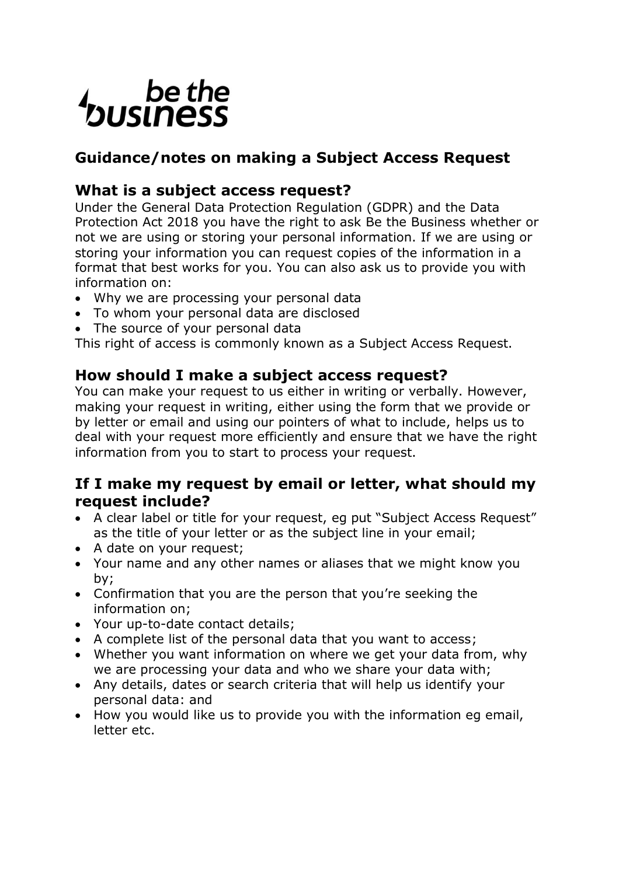# be the<br>business

# **Guidance/notes on making a Subject Access Request**

# **What is a subject access request?**

Under the General Data Protection Regulation (GDPR) and the Data Protection Act 2018 you have the right to ask Be the Business whether or not we are using or storing your personal information. If we are using or storing your information you can request copies of the information in a format that best works for you. You can also ask us to provide you with information on:

- Why we are processing your personal data
- To whom your personal data are disclosed
- The source of your personal data

This right of access is commonly known as a Subject Access Request.

# **How should I make a subject access request?**

You can make your request to us either in writing or verbally. However, making your request in writing, either using the form that we provide or by letter or email and using our pointers of what to include, helps us to deal with your request more efficiently and ensure that we have the right information from you to start to process your request.

## **If I make my request by email or letter, what should my request include?**

- A clear label or title for your request, eg put "Subject Access Request" as the title of your letter or as the subject line in your email;
- A date on your request:
- Your name and any other names or aliases that we might know you by;
- Confirmation that you are the person that you're seeking the information on;
- Your up-to-date contact details;
- A complete list of the personal data that you want to access;
- Whether you want information on where we get your data from, why we are processing your data and who we share your data with;
- Any details, dates or search criteria that will help us identify your personal data: and
- How you would like us to provide you with the information eg email, letter etc.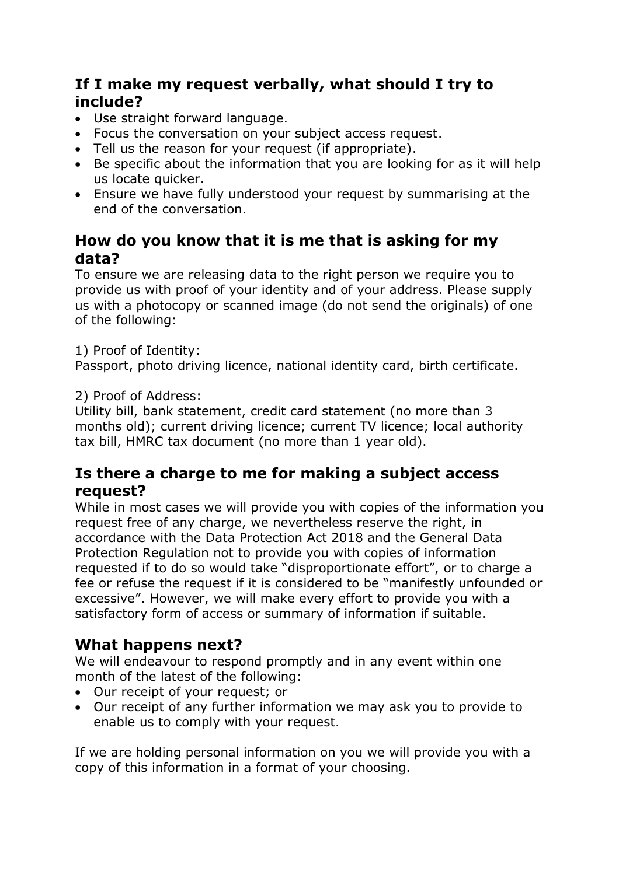## **If I make my request verbally, what should I try to include?**

- Use straight forward language.
- Focus the conversation on your subject access request.
- Tell us the reason for your request (if appropriate).
- Be specific about the information that you are looking for as it will help us locate quicker.
- Ensure we have fully understood your request by summarising at the end of the conversation.

## **How do you know that it is me that is asking for my data?**

To ensure we are releasing data to the right person we require you to provide us with proof of your identity and of your address. Please supply us with a photocopy or scanned image (do not send the originals) of one of the following:

#### 1) Proof of Identity:

Passport, photo driving licence, national identity card, birth certificate.

#### 2) Proof of Address:

Utility bill, bank statement, credit card statement (no more than 3 months old); current driving licence; current TV licence; local authority tax bill, HMRC tax document (no more than 1 year old).

## **Is there a charge to me for making a subject access request?**

While in most cases we will provide you with copies of the information you request free of any charge, we nevertheless reserve the right, in accordance with the Data Protection Act 2018 and the General Data Protection Regulation not to provide you with copies of information requested if to do so would take "disproportionate effort", or to charge a fee or refuse the request if it is considered to be "manifestly unfounded or excessive". However, we will make every effort to provide you with a satisfactory form of access or summary of information if suitable.

## **What happens next?**

We will endeavour to respond promptly and in any event within one month of the latest of the following:

- Our receipt of your request; or
- Our receipt of any further information we may ask you to provide to enable us to comply with your request.

If we are holding personal information on you we will provide you with a copy of this information in a format of your choosing.